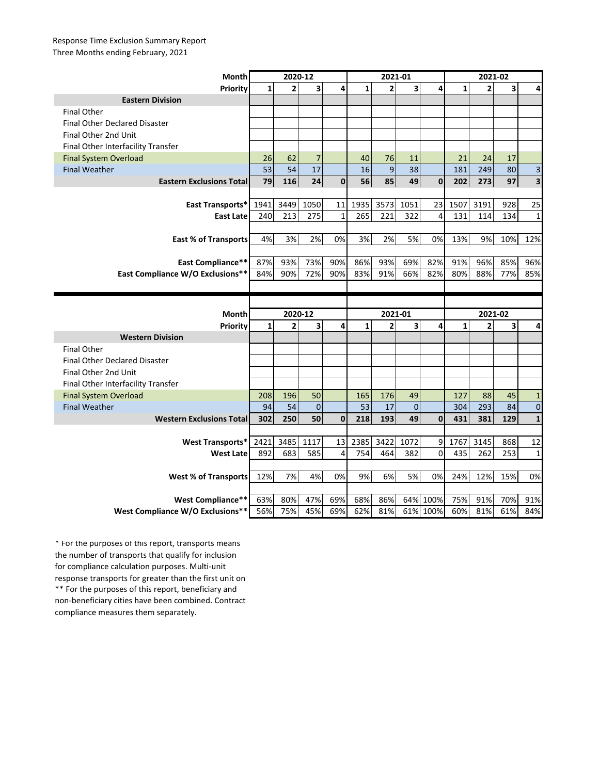## Response Time Exclusion Summary Report Three Months ending February, 2021

| Month                                | 2020-12      |                |                         |              | 2021-01      |                |              |                      | 2021-02      |            |            |              |
|--------------------------------------|--------------|----------------|-------------------------|--------------|--------------|----------------|--------------|----------------------|--------------|------------|------------|--------------|
| Priority                             | 1            | 2              | $\overline{\mathbf{3}}$ | 4            | $\mathbf{1}$ | $\overline{2}$ | 3            | 4                    | $\mathbf{1}$ | 2          | 3          | 4            |
| <b>Eastern Division</b>              |              |                |                         |              |              |                |              |                      |              |            |            |              |
| <b>Final Other</b>                   |              |                |                         |              |              |                |              |                      |              |            |            |              |
| <b>Final Other Declared Disaster</b> |              |                |                         |              |              |                |              |                      |              |            |            |              |
| Final Other 2nd Unit                 |              |                |                         |              |              |                |              |                      |              |            |            |              |
| Final Other Interfacility Transfer   |              |                |                         |              |              |                |              |                      |              |            |            |              |
| <b>Final System Overload</b>         | 26           | 62             | $\overline{7}$          |              | 40           | 76             | 11           |                      | 21           | 24         | 17         |              |
| <b>Final Weather</b>                 | 53           | 54             | 17                      |              | 16           | 9              | 38           |                      | 181          | 249        | 80         | 3            |
| <b>Eastern Exclusions Total</b>      | 79           | 116            | 24                      | $\mathbf{0}$ | 56           | 85             | 49           | 0                    | 202          | 273        | 97         | 3            |
|                                      |              |                |                         |              |              |                |              |                      |              |            |            |              |
| East Transports*                     | 1941         | 3449           | 1050                    | 11           | 1935         | 3573           | 1051         | 23                   | 1507         | 3191       | 928        | 25           |
| <b>East Late</b>                     | 240          | 213            | 275                     | $\mathbf{1}$ | 265          | 221            | 322          | $\overline{4}$       | 131          | 114        | 134        | $\mathbf{1}$ |
|                                      |              |                |                         |              |              |                |              |                      |              |            |            |              |
| <b>East % of Transports</b>          | 4%           | 3%             | 2%                      | 0%           | 3%           | 2%             | 5%           | 0%                   | 13%          | 9%         | 10%        | 12%          |
|                                      |              |                |                         |              |              |                |              |                      |              |            |            |              |
| <b>East Compliance**</b>             | 87%          | 93%            | 73%                     | 90%          | 86%          | 93%            | 69%          | 82%                  | 91%          | 96%        | 85%        | 96%          |
| East Compliance W/O Exclusions**     | 84%          | 90%            | 72%                     | 90%          | 83%          | 91%            | 66%          | 82%                  | 80%          | 88%        | 77%        | 85%          |
|                                      |              |                |                         |              |              |                |              |                      |              |            |            |              |
|                                      |              |                |                         |              |              |                |              |                      |              |            |            |              |
|                                      |              |                |                         |              |              |                |              |                      |              |            |            |              |
| Month                                |              | 2020-12        |                         |              |              | 2021-01        |              |                      |              | 2021-02    |            |              |
| Priority                             | $\mathbf{1}$ | $\overline{2}$ | 3                       | 4            | $\mathbf{1}$ | $\overline{2}$ | 3            | 4                    | $\mathbf{1}$ | 2          | 3          | 4            |
| <b>Western Division</b>              |              |                |                         |              |              |                |              |                      |              |            |            |              |
| <b>Final Other</b>                   |              |                |                         |              |              |                |              |                      |              |            |            |              |
| <b>Final Other Declared Disaster</b> |              |                |                         |              |              |                |              |                      |              |            |            |              |
| Final Other 2nd Unit                 |              |                |                         |              |              |                |              |                      |              |            |            |              |
| Final Other Interfacility Transfer   |              |                |                         |              |              |                |              |                      |              |            |            |              |
| <b>Final System Overload</b>         | 208          | 196            | 50                      |              | 165          | 176            | 49           |                      | 127          | 88         | 45         | $\mathbf{1}$ |
| <b>Final Weather</b>                 | 94           | 54             | $\overline{0}$          |              | 53           | 17             | $\mathbf{0}$ |                      | 304          | 293        | 84         | $\mathbf 0$  |
| <b>Western Exclusions Total</b>      | 302          | 250            | 50                      | $\mathbf 0$  | 218          | 193            | 49           | $\mathbf{0}$         | 431          | 381        | 129        | $\mathbf{1}$ |
|                                      |              |                |                         |              |              |                |              |                      |              |            |            |              |
| <b>West Transports*</b>              | 2421         | 3485           | 1117                    | 13           | 2385         | 3422           | 1072         | 9                    | 1767         | 3145       | 868        | 12           |
| <b>West Late</b>                     | 892          | 683            | 585                     | 4            | 754          | 464            | 382          | $\Omega$             | 435          | 262        | 253        | $\mathbf{1}$ |
|                                      |              |                |                         |              |              |                |              |                      |              |            |            |              |
| <b>West % of Transports</b>          | 12%          | 7%             | 4%                      | 0%           | 9%           | 6%             | 5%           | 0%                   | 24%          | 12%        | 15%        | 0%           |
|                                      |              |                |                         |              |              |                |              |                      |              |            |            |              |
| <b>West Compliance**</b>             | 63%<br>56%   | 80%<br>75%     | 47%<br>45%              | 69%<br>69%   | 68%<br>62%   | 86%<br>81%     |              | 64% 100%<br>61% 100% | 75%<br>60%   | 91%<br>81% | 70%<br>61% | 91%<br>84%   |

\*\* For the purposes of this report, beneficiary and non-beneficiary cities have been combined. Contract compliance measures them separately. \* For the purposes of this report, transports means the number of transports that qualify for inclusion for compliance calculation purposes. Multi-unit response transports for greater than the first unit on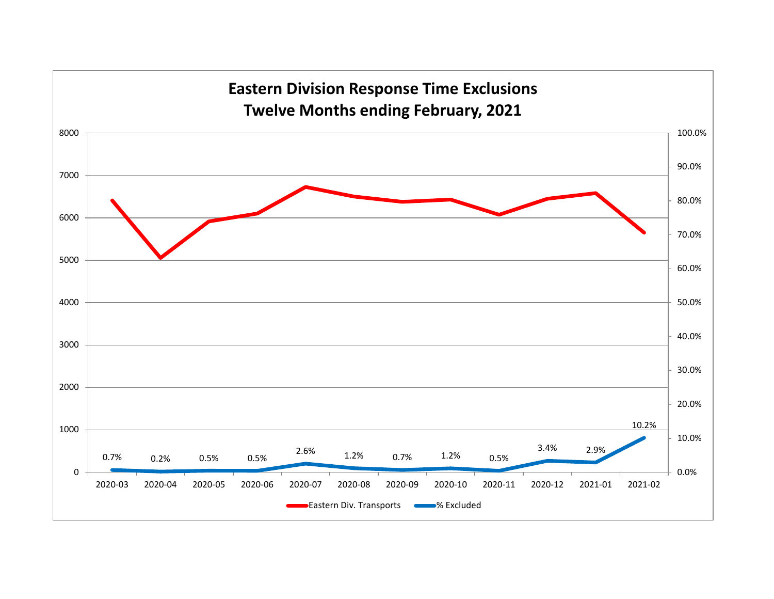